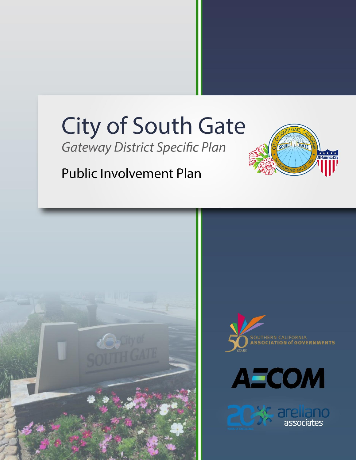# **City of South Gate**

**Gateway District Specific Plan** 



## **Public Involvement Plan**

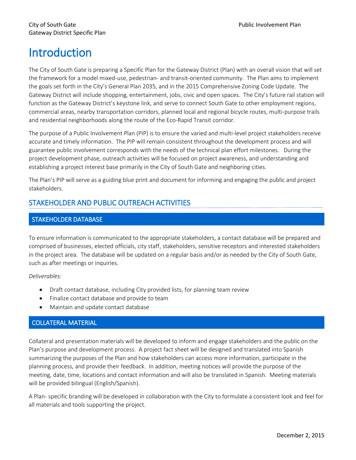### **Introduction**

The City of South Gate is preparing a Specific Plan for the Gateway District (Plan) with an overall vision that will set the framework for a model mixed-use, pedestrian- and transit-oriented community. The Plan aims to implement the goals set forth in the City's General Plan 2035, and in the 2015 Comprehensive Zoning Code Update. The Gateway District will include shopping, entertainment, jobs, civic and open spaces. The City's future rail station will function as the Gateway District's keystone link, and serve to connect South Gate to other employment regions, commercial areas, nearby transportation corridors, planned local and regional bicycle routes, multi-purpose trails and residential neighborhoods along the route of the Eco-Rapid Transit corridor.

The purpose of a Public Involvement Plan (PIP) is to ensure the varied and multi-level project stakeholders receive accurate and timely information. The PIP will remain consistent throughout the development process and will guarantee public involvement corresponds with the needs of the technical plan effort milestones. During the project development phase, outreach activities will be focused on project awareness, and understanding and establishing a project interest base primarily in the City of South Gate and neighboring cities.

The Plan's PIP will serve as a guiding blue print and document for informing and engaging the public and project stakeholders.

#### STAKEHOLDER AND PUBLIC OUTREACH ACTIVITIES

#### STAKEHOLDER DATABASE

To ensure information is communicated to the appropriate stakeholders, a contact database will be prepared and comprised of businesses, elected officials, city staff, stakeholders, sensitive receptors and interested stakeholders in the project area. The database will be updated on a regular basis and/or as needed by the City of South Gate, such as after meetings or inquiries.

*Deliverables:*

- Draft contact database, including City provided lists, for planning team review
- Finalize contact database and provide to team
- Maintain and update contact database

#### COLLATERAL MATERIAL

Collateral and presentation materials will be developed to inform and engage stakeholders and the public on the Plan's purpose and development process. A project fact sheet will be designed and translated into Spanish summarizing the purposes of the Plan and how stakeholders can access more information, participate in the planning process, and provide their feedback. In addition, meeting notices will provide the purpose of the meeting, date, time, locations and contact information and will also be translated in Spanish. Meeting materials will be provided bilingual (English/Spanish).

A Plan- specific branding will be developed in collaboration with the City to formulate a consistent look and feel for all materials and tools supporting the project.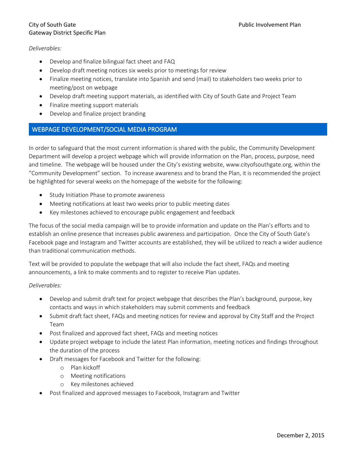#### City of South Gate **Public Involvement Plan** Gateway District Specific Plan

#### *Deliverables:*

- Develop and finalize bilingual fact sheet and FAQ
- Develop draft meeting notices six weeks prior to meetings for review
- Finalize meeting notices, translate into Spanish and send (mail) to stakeholders two weeks prior to meeting/post on webpage
- Develop draft meeting support materials, as identified with City of South Gate and Project Team
- Finalize meeting support materials
- Develop and finalize project branding

#### WEBPAGE DEVELOPMENT/SOCIAL MEDIA PROGRAM

In order to safeguard that the most current information is shared with the public, the Community Development Department will develop a project webpage which will provide information on the Plan, process, purpose, need and timeline. The webpage will be housed under the City's existing website, www.cityofsouthgate.org, within the "Community Development" section. To increase awareness and to brand the Plan, it is recommended the project be highlighted for several weeks on the homepage of the website for the following:

- Study Initiation Phase to promote awareness
- Meeting notifications at least two weeks prior to public meeting dates
- Key milestones achieved to encourage public engagement and feedback

The focus of the social media campaign will be to provide information and update on the Plan's efforts and to establish an online presence that increases public awareness and participation. Once the City of South Gate's Facebook page and Instagram and Twitter accounts are established, they will be utilized to reach a wider audience than traditional communication methods.

Text will be provided to populate the webpage that will also include the fact sheet, FAQs and meeting announcements, a link to make comments and to register to receive Plan updates.

#### *Deliverables:*

- Develop and submit draft text for project webpage that describes the Plan's background, purpose, key contacts and ways in which stakeholders may submit comments and feedback
- Submit draft fact sheet, FAQs and meeting notices for review and approval by City Staff and the Project Team
- Post finalized and approved fact sheet, FAQs and meeting notices
- Update project webpage to include the latest Plan information, meeting notices and findings throughout the duration of the process
- Draft messages for Facebook and Twitter for the following:
	- o Plan kickoff
	- o Meeting notifications
	- o Key milestones achieved
- Post finalized and approved messages to Facebook, Instagram and Twitter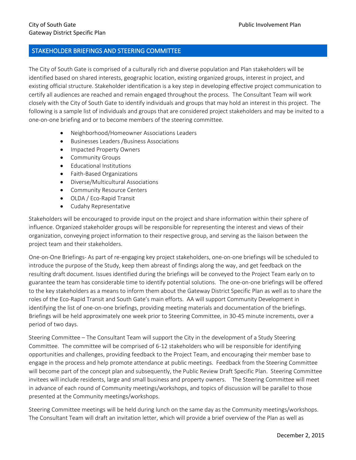#### STAKEHOLDER BRIEFINGS AND STEERING COMMITTEE

The City of South Gate is comprised of a culturally rich and diverse population and Plan stakeholders will be identified based on shared interests, geographic location, existing organized groups, interest in project, and existing official structure. Stakeholder identification is a key step in developing effective project communication to certify all audiences are reached and remain engaged throughout the process. The Consultant Team will work closely with the City of South Gate to identify individuals and groups that may hold an interest in this project. The following is a sample list of individuals and groups that are considered project stakeholders and may be invited to a one-on-one briefing and or to become members of the steering committee.

- Neighborhood/Homeowner Associations Leaders
- Businesses Leaders /Business Associations
- Impacted Property Owners
- **•** Community Groups
- **•** Educational Institutions
- Faith-Based Organizations
- Diverse/Multicultural Associations
- **•** Community Resource Centers
- OLDA / Eco-Rapid Transit
- Cudahy Representative

Stakeholders will be encouraged to provide input on the project and share information within their sphere of influence. Organized stakeholder groups will be responsible for representing the interest and views of their organization, conveying project information to their respective group, and serving as the liaison between the project team and their stakeholders.

One-on-One Briefings- As part of re-engaging key project stakeholders, one-on-one briefings will be scheduled to introduce the purpose of the Study, keep them abreast of findings along the way, and get feedback on the resulting draft document. Issues identified during the briefings will be conveyed to the Project Team early on to guarantee the team has considerable time to identify potential solutions. The one-on-one briefings will be offered to the key stakeholders as a means to inform them about the Gateway District Specific Plan as well as to share the roles of the Eco-Rapid Transit and South Gate's main efforts. AA will support Community Development in identifying the list of one-on-one briefings, providing meeting materials and documentation of the briefings. Briefings will be held approximately one week prior to Steering Committee, in 30-45 minute increments, over a period of two days.

Steering Committee – The Consultant Team will support the City in the development of a Study Steering Committee. The committee will be comprised of 6-12 stakeholders who will be responsible for identifying opportunities and challenges, providing feedback to the Project Team, and encouraging their member base to engage in the process and help promote attendance at public meetings. Feedback from the Steering Committee will become part of the concept plan and subsequently, the Public Review Draft Specific Plan. Steering Committee invitees will include residents, large and small business and property owners. The Steering Committee will meet in advance of each round of Community meetings/workshops, and topics of discussion will be parallel to those presented at the Community meetings/workshops.

Steering Committee meetings will be held during lunch on the same day as the Community meetings/workshops. The Consultant Team will draft an invitation letter, which will provide a brief overview of the Plan as well as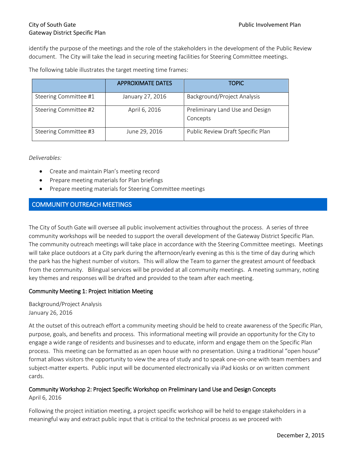#### City of South Gate **Public Involvement Plan** Gateway District Specific Plan

identify the purpose of the meetings and the role of the stakeholders in the development of the Public Review document. The City will take the lead in securing meeting facilities for Steering Committee meetings.

The following table illustrates the target meeting time frames:

|                       | <b>APPROXIMATE DATES</b> | <b>TOPIC</b>                                |
|-----------------------|--------------------------|---------------------------------------------|
| Steering Committee #1 | January 27, 2016         | Background/Project Analysis                 |
| Steering Committee #2 | April 6, 2016            | Preliminary Land Use and Design<br>Concepts |
| Steering Committee #3 | June 29, 2016            | Public Review Draft Specific Plan           |

*Deliverables:*

- Create and maintain Plan's meeting record
- Prepare meeting materials for Plan briefings
- Prepare meeting materials for Steering Committee meetings

#### COMMUNITY OUTREACH MEETINGS

The City of South Gate will oversee all public involvement activities throughout the process. A series of three community workshops will be needed to support the overall development of the Gateway District Specific Plan. The community outreach meetings will take place in accordance with the Steering Committee meetings. Meetings will take place outdoors at a City park during the afternoon/early evening as this is the time of day during which the park has the highest number of visitors. This will allow the Team to garner the greatest amount of feedback from the community. Bilingual services will be provided at all community meetings. A meeting summary, noting key themes and responses will be drafted and provided to the team after each meeting.

#### Community Meeting 1: Project Initiation Meeting

Background/Project Analysis January 26, 2016

At the outset of this outreach effort a community meeting should be held to create awareness of the Specific Plan, purpose, goals, and benefits and process. This informational meeting will provide an opportunity for the City to engage a wide range of residents and businesses and to educate, inform and engage them on the Specific Plan process. This meeting can be formatted as an open house with no presentation. Using a traditional "open house" format allows visitors the opportunity to view the area of study and to speak one-on-one with team members and subject-matter experts. Public input will be documented electronically via iPad kiosks or on written comment cards.

#### Community Workshop 2: Project Specific Workshop on Preliminary Land Use and Design Concepts

April 6, 2016

Following the project initiation meeting, a project specific workshop will be held to engage stakeholders in a meaningful way and extract public input that is critical to the technical process as we proceed with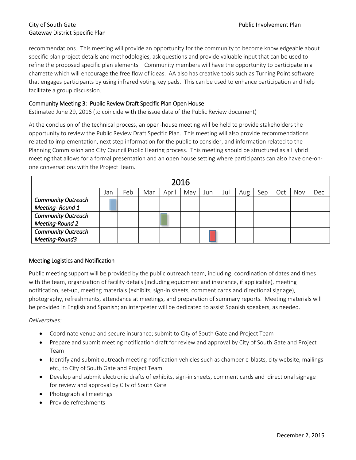#### City of South Gate **Public Involvement Plan** Gateway District Specific Plan

recommendations. This meeting will provide an opportunity for the community to become knowledgeable about specific plan project details and methodologies, ask questions and provide valuable input that can be used to refine the proposed specific plan elements. Community members will have the opportunity to participate in a charrette which will encourage the free flow of ideas. AA also has creative tools such as Turning Point software that engages participants by using infrared voting key pads. This can be used to enhance participation and help facilitate a group discussion.

#### Community Meeting 3: Public Review Draft Specific Plan Open House

Estimated June 29, 2016 (to coincide with the issue date of the Public Review document)

At the conclusion of the technical process, an open-house meeting will be held to provide stakeholders the opportunity to review the Public Review Draft Specific Plan. This meeting will also provide recommendations related to implementation, next step information for the public to consider, and information related to the Planning Commission and City Council Public Hearing process. This meeting should be structured as a Hybrid meeting that allows for a formal presentation and an open house setting where participants can also have one-onone conversations with the Project Team.

| 2016                      |     |     |     |       |     |     |     |     |     |     |     |     |
|---------------------------|-----|-----|-----|-------|-----|-----|-----|-----|-----|-----|-----|-----|
|                           | Jan | Feb | Mar | April | May | Jun | Jul | Aug | Sep | Oct | Nov | Dec |
| <b>Community Outreach</b> |     |     |     |       |     |     |     |     |     |     |     |     |
| Meeting-Round 1           |     |     |     |       |     |     |     |     |     |     |     |     |
| <b>Community Outreach</b> |     |     |     |       |     |     |     |     |     |     |     |     |
| Meeting-Round 2           |     |     |     |       |     |     |     |     |     |     |     |     |
| <b>Community Outreach</b> |     |     |     |       |     |     |     |     |     |     |     |     |
| Meeting-Round3            |     |     |     |       |     |     |     |     |     |     |     |     |

#### Meeting Logistics and Notification

Public meeting support will be provided by the public outreach team, including: coordination of dates and times with the team, organization of facility details (including equipment and insurance, if applicable), meeting notification, set-up, meeting materials (exhibits, sign-in sheets, comment cards and directional signage), photography, refreshments, attendance at meetings, and preparation of summary reports. Meeting materials will be provided in English and Spanish; an interpreter will be dedicated to assist Spanish speakers, as needed.

*Deliverables:*

- Coordinate venue and secure insurance; submit to City of South Gate and Project Team
- Prepare and submit meeting notification draft for review and approval by City of South Gate and Project Team
- Identify and submit outreach meeting notification vehicles such as chamber e-blasts, city website, mailings etc., to City of South Gate and Project Team
- Develop and submit electronic drafts of exhibits, sign-in sheets, comment cards and directional signage for review and approval by City of South Gate
- Photograph all meetings
- Provide refreshments